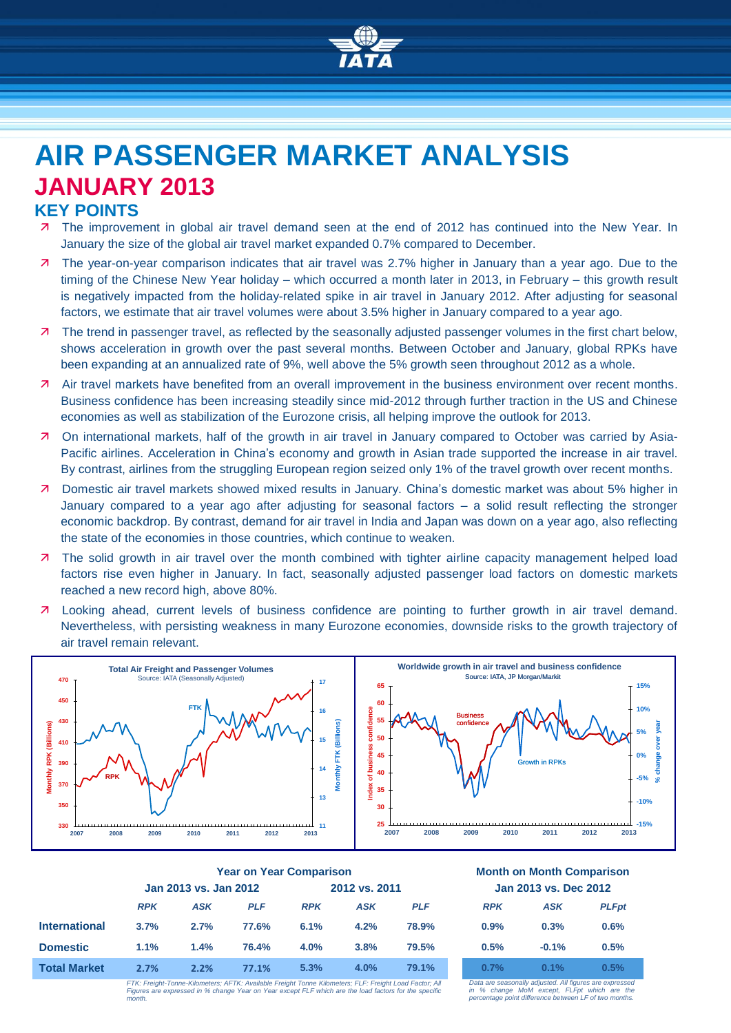

# **AIR PASSENGER MARKET ANALYSIS JANUARY 2013 KEY POINTS**

- 7 The improvement in global air travel demand seen at the end of 2012 has continued into the New Year. In January the size of the global air travel market expanded 0.7% compared to December.
- The year-on-year comparison indicates that air travel was 2.7% higher in January than a year ago. Due to the timing of the Chinese New Year holiday – which occurred a month later in 2013, in February – this growth result is negatively impacted from the holiday-related spike in air travel in January 2012. After adjusting for seasonal factors, we estimate that air travel volumes were about 3.5% higher in January compared to a year ago.
- **7** The trend in passenger travel, as reflected by the seasonally adjusted passenger volumes in the first chart below, shows acceleration in growth over the past several months. Between October and January, global RPKs have been expanding at an annualized rate of 9%, well above the 5% growth seen throughout 2012 as a whole.
- Air travel markets have benefited from an overall improvement in the business environment over recent months. Business confidence has been increasing steadily since mid-2012 through further traction in the US and Chinese economies as well as stabilization of the Eurozone crisis, all helping improve the outlook for 2013.
- On international markets, half of the growth in air travel in January compared to October was carried by Asia-Pacific airlines. Acceleration in China's economy and growth in Asian trade supported the increase in air travel. By contrast, airlines from the struggling European region seized only 1% of the travel growth over recent months.
- Domestic air travel markets showed mixed results in January. China's domestic market was about 5% higher in January compared to a year ago after adjusting for seasonal factors – a solid result reflecting the stronger economic backdrop. By contrast, demand for air travel in India and Japan was down on a year ago, also reflecting the state of the economies in those countries, which continue to weaken.
- **7** The solid growth in air travel over the month combined with tighter airline capacity management helped load factors rise even higher in January. In fact, seasonally adjusted passenger load factors on domestic markets reached a new record high, above 80%.
- **7** Looking ahead, current levels of business confidence are pointing to further growth in air travel demand. Nevertheless, with persisting weakness in many Eurozone economies, downside risks to the growth trajectory of air travel remain relevant.



|                      | <b>Year on Year Comparison</b> |            |               |            |            | <b>Month on Month Comparisor</b> |            |            |             |
|----------------------|--------------------------------|------------|---------------|------------|------------|----------------------------------|------------|------------|-------------|
|                      | Jan 2013 vs. Jan 2012          |            | 2012 vs. 2011 |            |            | Jan 2013 vs. Dec 2012            |            |            |             |
|                      | <b>RPK</b>                     | <b>ASK</b> | <b>PLF</b>    | <b>RPK</b> | <b>ASK</b> | <b>PLF</b>                       | <b>RPK</b> | <b>ASK</b> | <b>PLFp</b> |
| <b>International</b> | 3.7%                           | 2.7%       | 77.6%         | 6.1%       | 4.2%       | 78.9%                            | 0.9%       | 0.3%       | 0.6%        |
| <b>Domestic</b>      | 1.1%                           | 1.4%       | 76.4%         | 4.0%       | 3.8%       | 79.5%                            | 0.5%       | $-0.1%$    | 0.5%        |
| <b>Total Market</b>  | 2.7%                           | 2.2%       | 77.1%         | 5.3%       | 4.0%       | 79.1%                            | 0.7%       | 0.1%       | 0.5%        |

#### **Year on Year Comparison Month on Month Comparison Jan 2013 vs. Jan 2012 2012 vs. 2011 Jan 2013 vs. Dec 2012**

|            | JAII ZUTJ VS. DEC ZUTZ |              |  |  |  |
|------------|------------------------|--------------|--|--|--|
| <b>RPK</b> | <b>ASK</b>             | <b>PLFpt</b> |  |  |  |
| $0.9\%$    | 0.3%                   | 0.6%         |  |  |  |
| 0.5%       | $-0.1%$                | 0.5%         |  |  |  |
| 0.7%       | $0.1\%$                | 0.5%         |  |  |  |

*FTK: Freight-Tonne-Kilometers; AFTK: Available Freight Tonne Kilometers; FLF: Freight Load Factor; All*  Figures are expressed in % change Year on Year except FLF which are the load factors for the specific are the specific contract of the specific are the specific contract of the specific contract of the specific contract of *month.*

*Data are seasonally adjusted. All figures are expressed in % change MoM except, FLFpt which are the percentage point difference between LF of two months.*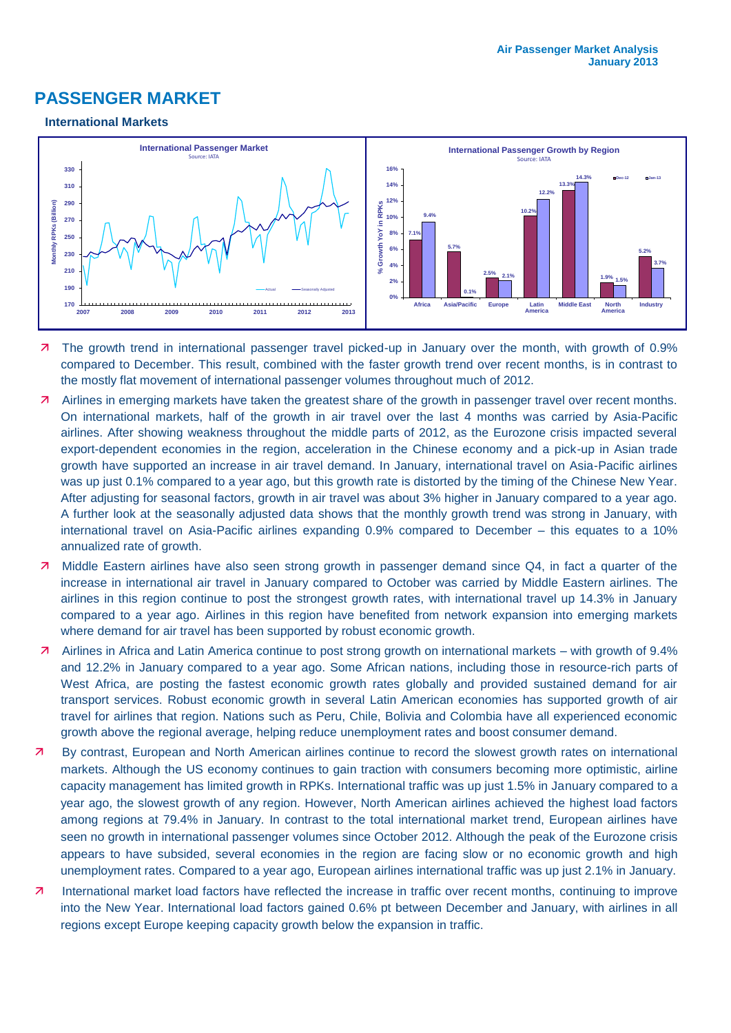# **PASSENGER MARKET**

#### **International Markets**



- 7 The growth trend in international passenger travel picked-up in January over the month, with growth of 0.9% compared to December. This result, combined with the faster growth trend over recent months, is in contrast to the mostly flat movement of international passenger volumes throughout much of 2012.
- Airlines in emerging markets have taken the greatest share of the growth in passenger travel over recent months. On international markets, half of the growth in air travel over the last 4 months was carried by Asia-Pacific airlines. After showing weakness throughout the middle parts of 2012, as the Eurozone crisis impacted several export-dependent economies in the region, acceleration in the Chinese economy and a pick-up in Asian trade growth have supported an increase in air travel demand. In January, international travel on Asia-Pacific airlines was up just 0.1% compared to a year ago, but this growth rate is distorted by the timing of the Chinese New Year. After adjusting for seasonal factors, growth in air travel was about 3% higher in January compared to a year ago. A further look at the seasonally adjusted data shows that the monthly growth trend was strong in January, with international travel on Asia-Pacific airlines expanding 0.9% compared to December – this equates to a 10% annualized rate of growth.
- **7** Middle Eastern airlines have also seen strong growth in passenger demand since Q4, in fact a quarter of the increase in international air travel in January compared to October was carried by Middle Eastern airlines. The airlines in this region continue to post the strongest growth rates, with international travel up 14.3% in January compared to a year ago. Airlines in this region have benefited from network expansion into emerging markets where demand for air travel has been supported by robust economic growth.
- Airlines in Africa and Latin America continue to post strong growth on international markets with growth of 9.4% and 12.2% in January compared to a year ago. Some African nations, including those in resource-rich parts of West Africa, are posting the fastest economic growth rates globally and provided sustained demand for air transport services. Robust economic growth in several Latin American economies has supported growth of air travel for airlines that region. Nations such as Peru, Chile, Bolivia and Colombia have all experienced economic growth above the regional average, helping reduce unemployment rates and boost consumer demand.
- By contrast, European and North American airlines continue to record the slowest growth rates on international markets. Although the US economy continues to gain traction with consumers becoming more optimistic, airline capacity management has limited growth in RPKs. International traffic was up just 1.5% in January compared to a year ago, the slowest growth of any region. However, North American airlines achieved the highest load factors among regions at 79.4% in January. In contrast to the total international market trend, European airlines have seen no growth in international passenger volumes since October 2012. Although the peak of the Eurozone crisis appears to have subsided, several economies in the region are facing slow or no economic growth and high unemployment rates. Compared to a year ago, European airlines international traffic was up just 2.1% in January.
- International market load factors have reflected the increase in traffic over recent months, continuing to improve into the New Year. International load factors gained 0.6% pt between December and January, with airlines in all regions except Europe keeping capacity growth below the expansion in traffic.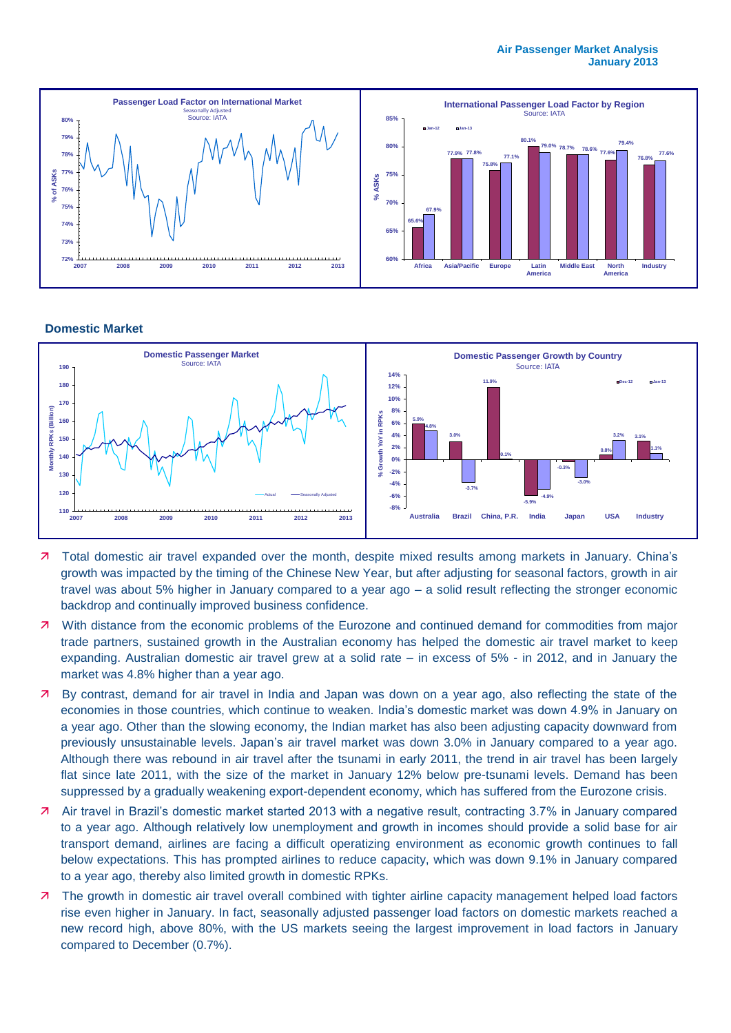

#### **Domestic Market**



- 7 Total domestic air travel expanded over the month, despite mixed results among markets in January. China's growth was impacted by the timing of the Chinese New Year, but after adjusting for seasonal factors, growth in air travel was about 5% higher in January compared to a year ago – a solid result reflecting the stronger economic backdrop and continually improved business confidence.
- **7** With distance from the economic problems of the Eurozone and continued demand for commodities from major trade partners, sustained growth in the Australian economy has helped the domestic air travel market to keep expanding. Australian domestic air travel grew at a solid rate – in excess of 5% - in 2012, and in January the market was 4.8% higher than a year ago.
- By contrast, demand for air travel in India and Japan was down on a year ago, also reflecting the state of the economies in those countries, which continue to weaken. India's domestic market was down 4.9% in January on a year ago. Other than the slowing economy, the Indian market has also been adjusting capacity downward from previously unsustainable levels. Japan's air travel market was down 3.0% in January compared to a year ago. Although there was rebound in air travel after the tsunami in early 2011, the trend in air travel has been largely flat since late 2011, with the size of the market in January 12% below pre-tsunami levels. Demand has been suppressed by a gradually weakening export-dependent economy, which has suffered from the Eurozone crisis.
- Air travel in Brazil's domestic market started 2013 with a negative result, contracting 3.7% in January compared to a year ago. Although relatively low unemployment and growth in incomes should provide a solid base for air transport demand, airlines are facing a difficult operatizing environment as economic growth continues to fall below expectations. This has prompted airlines to reduce capacity, which was down 9.1% in January compared to a year ago, thereby also limited growth in domestic RPKs.
- **7** The growth in domestic air travel overall combined with tighter airline capacity management helped load factors rise even higher in January. In fact, seasonally adjusted passenger load factors on domestic markets reached a new record high, above 80%, with the US markets seeing the largest improvement in load factors in January compared to December (0.7%).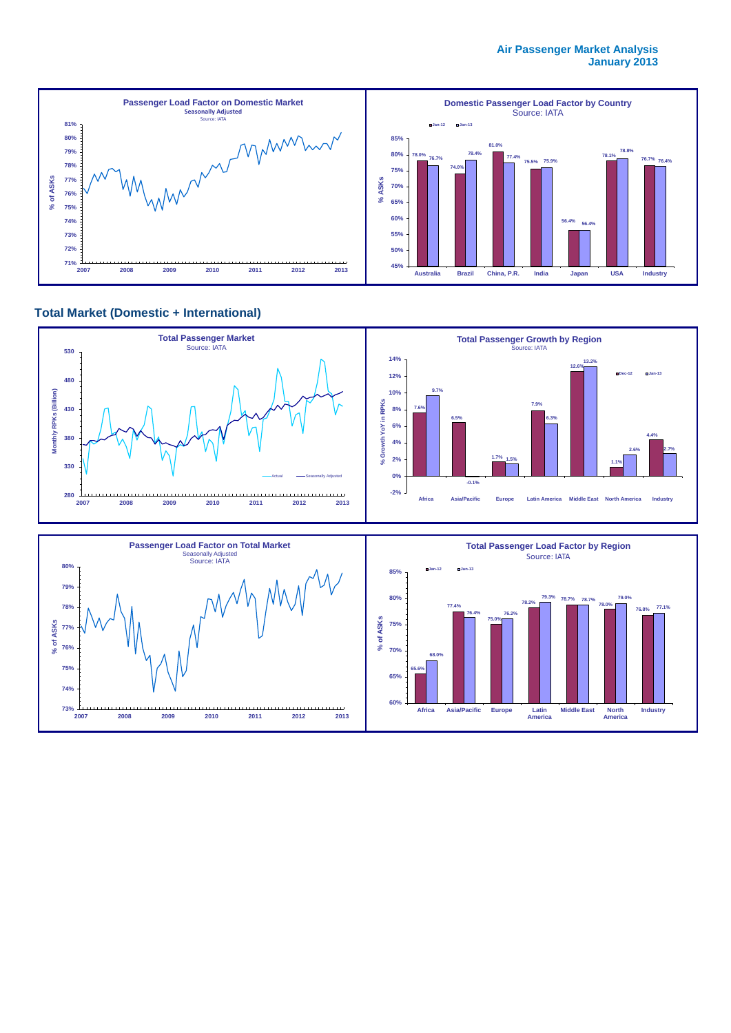

### **Total Market (Domestic + International)**



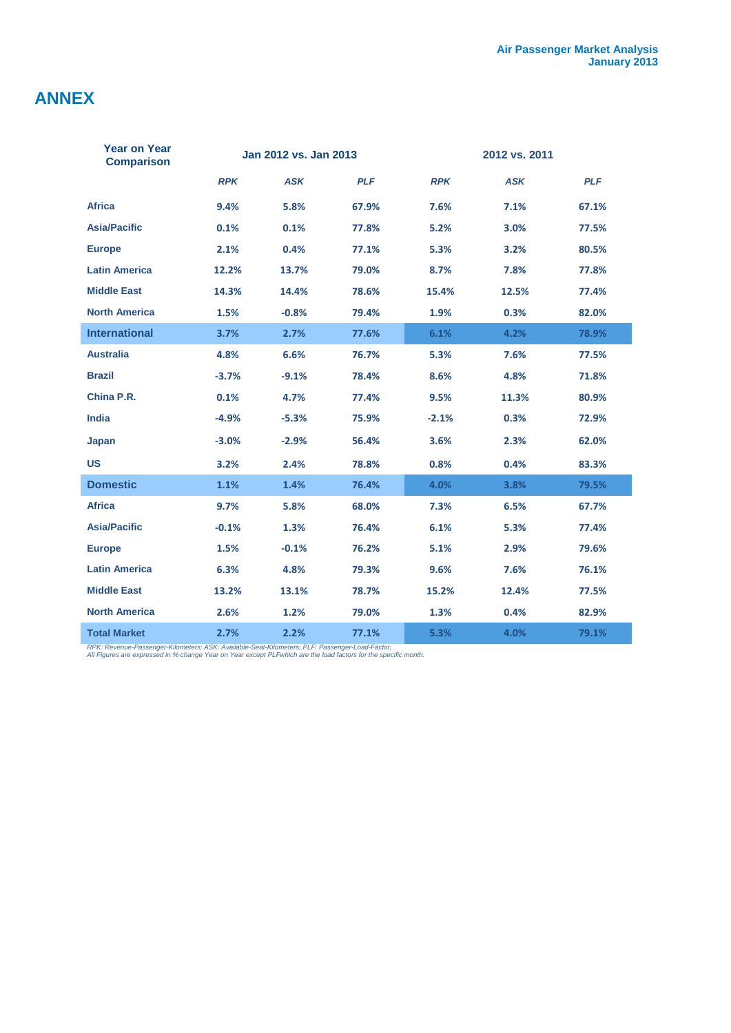# **ANNEX**

| <b>Year on Year</b><br><b>Comparison</b> | Jan 2012 vs. Jan 2013 |            |            | 2012 vs. 2011 |            |            |  |
|------------------------------------------|-----------------------|------------|------------|---------------|------------|------------|--|
|                                          | <b>RPK</b>            | <b>ASK</b> | <b>PLF</b> | <b>RPK</b>    | <b>ASK</b> | <b>PLF</b> |  |
| <b>Africa</b>                            | 9.4%                  | 5.8%       | 67.9%      | 7.6%          | 7.1%       | 67.1%      |  |
| <b>Asia/Pacific</b>                      | 0.1%                  | 0.1%       | 77.8%      | 5.2%          | 3.0%       | 77.5%      |  |
| <b>Europe</b>                            | 2.1%                  | 0.4%       | 77.1%      | 5.3%          | 3.2%       | 80.5%      |  |
| <b>Latin America</b>                     | 12.2%                 | 13.7%      | 79.0%      | 8.7%          | 7.8%       | 77.8%      |  |
| <b>Middle East</b>                       | 14.3%                 | 14.4%      | 78.6%      | 15.4%         | 12.5%      | 77.4%      |  |
| <b>North America</b>                     | 1.5%                  | $-0.8%$    | 79.4%      | 1.9%          | 0.3%       | 82.0%      |  |
| <b>International</b>                     | 3.7%                  | 2.7%       | 77.6%      | 6.1%          | 4.2%       | 78.9%      |  |
| <b>Australia</b>                         | 4.8%                  | 6.6%       | 76.7%      | 5.3%          | 7.6%       | 77.5%      |  |
| <b>Brazil</b>                            | $-3.7%$               | $-9.1%$    | 78.4%      | 8.6%          | 4.8%       | 71.8%      |  |
| China P.R.                               | 0.1%                  | 4.7%       | 77.4%      | 9.5%          | 11.3%      | 80.9%      |  |
| <b>India</b>                             | $-4.9%$               | $-5.3%$    | 75.9%      | $-2.1%$       | 0.3%       | 72.9%      |  |
| Japan                                    | $-3.0%$               | $-2.9%$    | 56.4%      | 3.6%          | 2.3%       | 62.0%      |  |
| <b>US</b>                                | 3.2%                  | 2.4%       | 78.8%      | 0.8%          | 0.4%       | 83.3%      |  |
| <b>Domestic</b>                          | 1.1%                  | 1.4%       | 76.4%      | 4.0%          | 3.8%       | 79.5%      |  |
| <b>Africa</b>                            | 9.7%                  | 5.8%       | 68.0%      | 7.3%          | 6.5%       | 67.7%      |  |
| <b>Asia/Pacific</b>                      | $-0.1%$               | 1.3%       | 76.4%      | 6.1%          | 5.3%       | 77.4%      |  |
| <b>Europe</b>                            | 1.5%                  | $-0.1%$    | 76.2%      | 5.1%          | 2.9%       | 79.6%      |  |
| <b>Latin America</b>                     | 6.3%                  | 4.8%       | 79.3%      | 9.6%          | 7.6%       | 76.1%      |  |
| <b>Middle East</b>                       | 13.2%                 | 13.1%      | 78.7%      | 15.2%         | 12.4%      | 77.5%      |  |
| <b>North America</b>                     | 2.6%                  | 1.2%       | 79.0%      | 1.3%          | 0.4%       | 82.9%      |  |
| <b>Total Market</b>                      | 2.7%                  | 2.2%       | 77.1%      | 5.3%          | 4.0%       | 79.1%      |  |

*RPK: Revenue-Passenger-Kilometers; ASK: Available-Seat-Kilometers; PLF: Passenger-Load-Factor; All Figures are expressed in % change Year on Year except PLFwhich are the load factors for the specific month.*